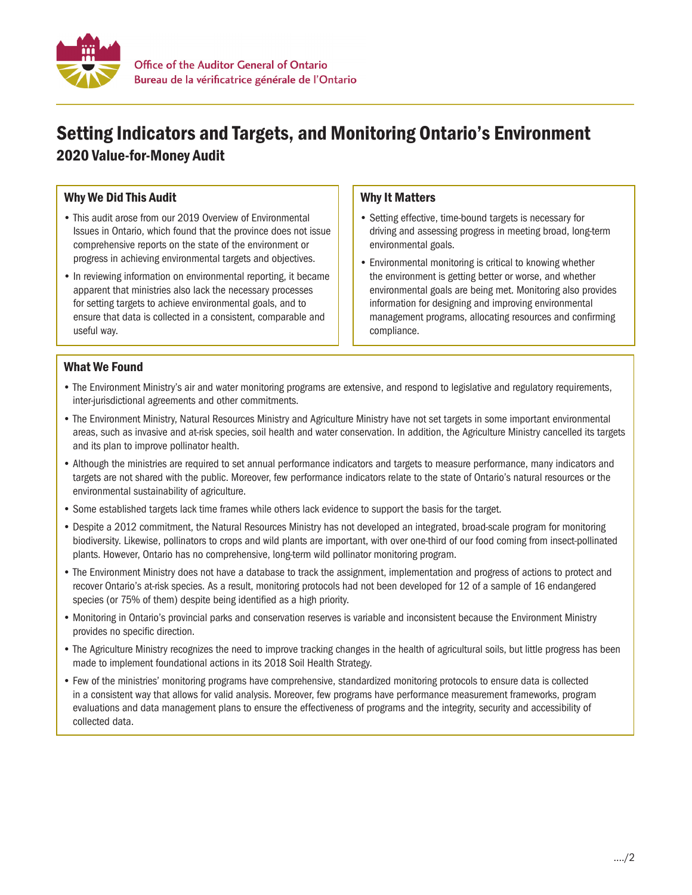

# Setting Indicators and Targets, and Monitoring Ontario's Environment 2020 Value-for-Money Audit

## Why We Did This Audit

- This audit arose from our 2019 Overview of Environmental Issues in Ontario, which found that the province does not issue comprehensive reports on the state of the environment or progress in achieving environmental targets and objectives.
- In reviewing information on environmental reporting, it became apparent that ministries also lack the necessary processes for setting targets to achieve environmental goals, and to ensure that data is collected in a consistent, comparable and useful way.

### Why It Matters

- Setting effective, time-bound targets is necessary for driving and assessing progress in meeting broad, long-term environmental goals.
- Environmental monitoring is critical to knowing whether the environment is getting better or worse, and whether environmental goals are being met. Monitoring also provides information for designing and improving environmental management programs, allocating resources and confirming compliance.

#### What We Found

- The Environment Ministry's air and water monitoring programs are extensive, and respond to legislative and regulatory requirements, inter-jurisdictional agreements and other commitments.
- The Environment Ministry, Natural Resources Ministry and Agriculture Ministry have not set targets in some important environmental areas, such as invasive and at-risk species, soil health and water conservation. In addition, the Agriculture Ministry cancelled its targets and its plan to improve pollinator health.
- Although the ministries are required to set annual performance indicators and targets to measure performance, many indicators and targets are not shared with the public. Moreover, few performance indicators relate to the state of Ontario's natural resources or the environmental sustainability of agriculture.
- Some established targets lack time frames while others lack evidence to support the basis for the target.
- Despite a 2012 commitment, the Natural Resources Ministry has not developed an integrated, broad-scale program for monitoring biodiversity. Likewise, pollinators to crops and wild plants are important, with over one-third of our food coming from insect-pollinated plants. However, Ontario has no comprehensive, long-term wild pollinator monitoring program.
- The Environment Ministry does not have a database to track the assignment, implementation and progress of actions to protect and recover Ontario's at-risk species. As a result, monitoring protocols had not been developed for 12 of a sample of 16 endangered species (or 75% of them) despite being identified as a high priority.
- Monitoring in Ontario's provincial parks and conservation reserves is variable and inconsistent because the Environment Ministry provides no specific direction.
- The Agriculture Ministry recognizes the need to improve tracking changes in the health of agricultural soils, but little progress has been made to implement foundational actions in its 2018 Soil Health Strategy.
- Few of the ministries' monitoring programs have comprehensive, standardized monitoring protocols to ensure data is collected in a consistent way that allows for valid analysis. Moreover, few programs have performance measurement frameworks, program evaluations and data management plans to ensure the effectiveness of programs and the integrity, security and accessibility of collected data.